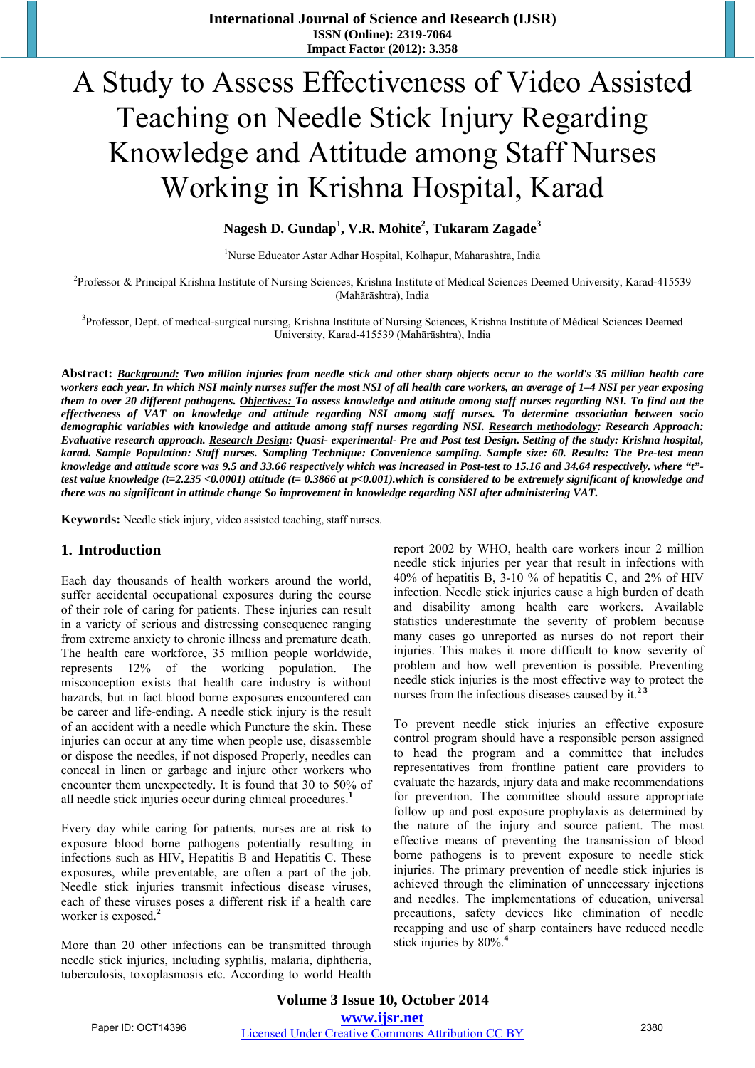# A Study to Assess Effectiveness of Video Assisted Teaching on Needle Stick Injury Regarding Knowledge and Attitude among Staff Nurses Working in Krishna Hospital, Karad

# **Nagesh D. Gundap<sup>1</sup> , V.R. Mohite<sup>2</sup> , Tukaram Zagade<sup>3</sup>**

1 Nurse Educator Astar Adhar Hospital, Kolhapur, Maharashtra, India

2 Professor & Principal Krishna Institute of Nursing Sciences, Krishna Institute of Médical Sciences Deemed University, Karad-415539 (Mahārāshtra), India

<sup>3</sup>Professor, Dept. of medical-surgical nursing, Krishna Institute of Nursing Sciences, Krishna Institute of Médical Sciences Deemed University, Karad-415539 (Mahārāshtra), India

**Abstract:** *Background: Two million injuries from needle stick and other sharp objects occur to the world's 35 million health care workers each year. In which NSI mainly nurses suffer the most NSI of all health care workers, an average of 1–4 NSI per year exposing them to over 20 different pathogens. Objectives: To assess knowledge and attitude among staff nurses regarding NSI. To find out the effectiveness of VAT on knowledge and attitude regarding NSI among staff nurses. To determine association between socio demographic variables with knowledge and attitude among staff nurses regarding NSI. Research methodology: Research Approach: Evaluative research approach. Research Design: Quasi- experimental- Pre and Post test Design. Setting of the study: Krishna hospital, karad. Sample Population: Staff nurses. Sampling Technique: Convenience sampling. Sample size: 60. Results: The Pre-test mean knowledge and attitude score was 9.5 and 33.66 respectively which was increased in Post-test to 15.16 and 34.64 respectively. where "t" test value knowledge (t=2.235 <0.0001) attitude (t= 0.3866 at p<0.001).which is considered to be extremely significant of knowledge and there was no significant in attitude change So improvement in knowledge regarding NSI after administering VAT.* 

**Keywords:** Needle stick injury, video assisted teaching, staff nurses.

#### **1. Introduction**

Each day thousands of health workers around the world, suffer accidental occupational exposures during the course of their role of caring for patients. These injuries can result in a variety of serious and distressing consequence ranging from extreme anxiety to chronic illness and premature death. The health care workforce, 35 million people worldwide, represents 12% of the working population. The misconception exists that health care industry is without hazards, but in fact blood borne exposures encountered can be career and life-ending. A needle stick injury is the result of an accident with a needle which Puncture the skin. These injuries can occur at any time when people use, disassemble or dispose the needles, if not disposed Properly, needles can conceal in linen or garbage and injure other workers who encounter them unexpectedly. It is found that 30 to 50% of all needle stick injuries occur during clinical procedures.**<sup>1</sup>**

Every day while caring for patients, nurses are at risk to exposure blood borne pathogens potentially resulting in infections such as HIV, Hepatitis B and Hepatitis C. These exposures, while preventable, are often a part of the job. Needle stick injuries transmit infectious disease viruses, each of these viruses poses a different risk if a health care worker is exposed.**<sup>2</sup>**

More than 20 other infections can be transmitted through needle stick injuries, including syphilis, malaria, diphtheria, tuberculosis, toxoplasmosis etc. According to world Health report 2002 by WHO, health care workers incur 2 million needle stick injuries per year that result in infections with 40% of hepatitis B, 3-10 % of hepatitis C, and 2% of HIV infection. Needle stick injuries cause a high burden of death and disability among health care workers. Available statistics underestimate the severity of problem because many cases go unreported as nurses do not report their injuries. This makes it more difficult to know severity of problem and how well prevention is possible. Preventing needle stick injuries is the most effective way to protect the nurses from the infectious diseases caused by it.**2 3**

To prevent needle stick injuries an effective exposure control program should have a responsible person assigned to head the program and a committee that includes representatives from frontline patient care providers to evaluate the hazards, injury data and make recommendations for prevention. The committee should assure appropriate follow up and post exposure prophylaxis as determined by the nature of the injury and source patient. The most effective means of preventing the transmission of blood borne pathogens is to prevent exposure to needle stick injuries. The primary prevention of needle stick injuries is achieved through the elimination of unnecessary injections and needles. The implementations of education, universal precautions, safety devices like elimination of needle recapping and use of sharp containers have reduced needle stick injuries by 80%.**<sup>4</sup>**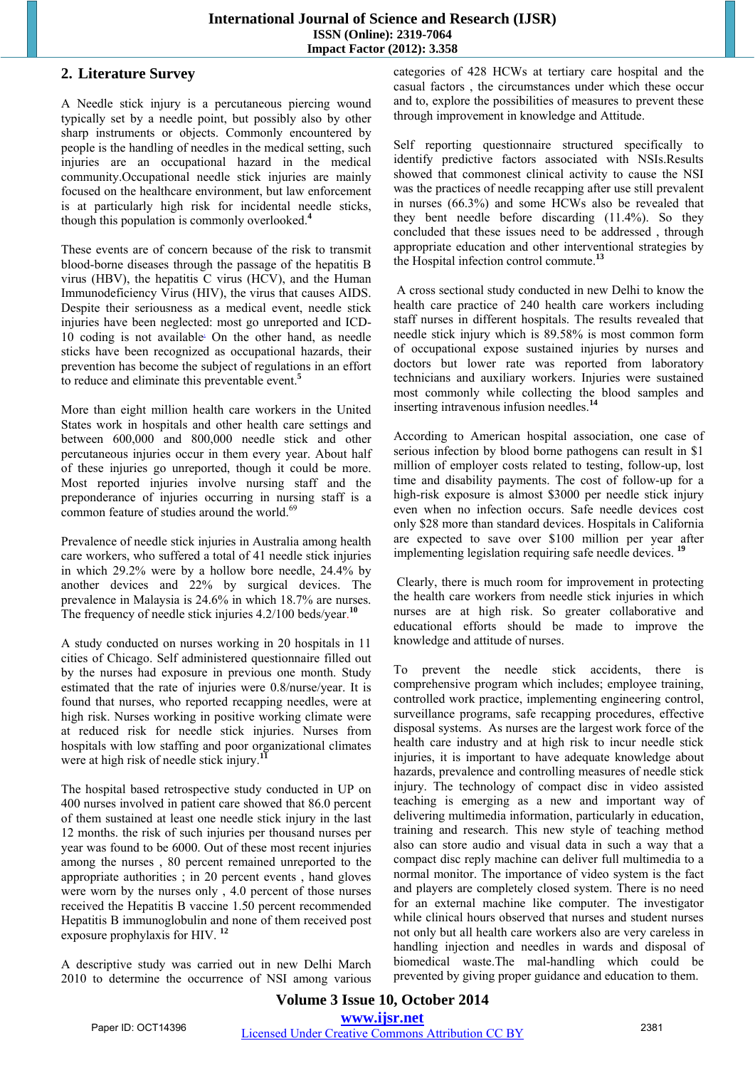# **2. Literature Survey**

A Needle stick injury is a percutaneous piercing wound typically set by a needle point, but possibly also by other sharp instruments or objects. Commonly encountered by people is the handling of needles in the medical setting, such injuries are an occupational hazard in the medical community.Occupational needle stick injuries are mainly focused on the healthcare environment, but law enforcement is at particularly high risk for incidental needle sticks, though this population is commonly overlooked.**<sup>4</sup>**

These events are of concern because of the risk to transmit blood-borne diseases through the passage of the hepatitis B virus (HBV), the hepatitis C virus (HCV), and the Human Immunodeficiency Virus (HIV), the virus that causes AIDS. Despite their seriousness as a medical event, needle stick injuries have been neglected: most go unreported and ICD-10 coding is not available. On the other hand, as needle sticks have been recognized as occupational hazards, their prevention has become the subject of regulations in an effort to reduce and eliminate this preventable event.**<sup>5</sup>**

More than eight million health care workers in the United States work in hospitals and other health care settings and between 600,000 and 800,000 needle stick and other percutaneous injuries occur in them every year. About half of these injuries go unreported, though it could be more. Most reported injuries involve nursing staff and the preponderance of injuries occurring in nursing staff is a common feature of studies around the world.<sup>69</sup>

Prevalence of needle stick injuries in Australia among health care workers, who suffered a total of 41 needle stick injuries in which 29.2% were by a hollow bore needle, 24.4% by another devices and 22% by surgical devices. The prevalence in Malaysia is 24.6% in which 18.7% are nurses. The frequency of needle stick injuries 4.2/100 beds/year.<sup>10</sup>

A study conducted on nurses working in 20 hospitals in 11 cities of Chicago. Self administered questionnaire filled out by the nurses had exposure in previous one month. Study estimated that the rate of injuries were 0.8/nurse/year. It is found that nurses, who reported recapping needles, were at high risk. Nurses working in positive working climate were at reduced risk for needle stick injuries. Nurses from hospitals with low staffing and poor organizational climates were at high risk of needle stick injury.**<sup>11</sup>**

The hospital based retrospective study conducted in UP on 400 nurses involved in patient care showed that 86.0 percent of them sustained at least one needle stick injury in the last 12 months. the risk of such injuries per thousand nurses per year was found to be 6000. Out of these most recent injuries among the nurses , 80 percent remained unreported to the appropriate authorities ; in 20 percent events , hand gloves were worn by the nurses only , 4.0 percent of those nurses received the Hepatitis B vaccine 1.50 percent recommended Hepatitis B immunoglobulin and none of them received post exposure prophylaxis for HIV. **<sup>12</sup>**

A descriptive study was carried out in new Delhi March 2010 to determine the occurrence of NSI among various categories of 428 HCWs at tertiary care hospital and the casual factors , the circumstances under which these occur and to, explore the possibilities of measures to prevent these through improvement in knowledge and Attitude.

Self reporting questionnaire structured specifically to identify predictive factors associated with NSIs.Results showed that commonest clinical activity to cause the NSI was the practices of needle recapping after use still prevalent in nurses (66.3%) and some HCWs also be revealed that they bent needle before discarding (11.4%). So they concluded that these issues need to be addressed , through appropriate education and other interventional strategies by the Hospital infection control commute.**<sup>13</sup>**

 A cross sectional study conducted in new Delhi to know the health care practice of 240 health care workers including staff nurses in different hospitals. The results revealed that needle stick injury which is 89.58% is most common form of occupational expose sustained injuries by nurses and doctors but lower rate was reported from laboratory technicians and auxiliary workers. Injuries were sustained most commonly while collecting the blood samples and inserting intravenous infusion needles.**<sup>14</sup>**

According to American hospital association, one case of serious infection by blood borne pathogens can result in \$1 million of employer costs related to testing, follow-up, lost time and disability payments. The cost of follow-up for a high-risk exposure is almost \$3000 per needle stick injury even when no infection occurs. Safe needle devices cost only \$28 more than standard devices. Hospitals in California are expected to save over \$100 million per year after implementing legislation requiring safe needle devices. **<sup>19</sup>**

 Clearly, there is much room for improvement in protecting the health care workers from needle stick injuries in which nurses are at high risk. So greater collaborative and educational efforts should be made to improve the knowledge and attitude of nurses.

To prevent the needle stick accidents, there is comprehensive program which includes; employee training, controlled work practice, implementing engineering control, surveillance programs, safe recapping procedures, effective disposal systems. As nurses are the largest work force of the health care industry and at high risk to incur needle stick injuries, it is important to have adequate knowledge about hazards, prevalence and controlling measures of needle stick injury. The technology of compact disc in video assisted teaching is emerging as a new and important way of delivering multimedia information, particularly in education, training and research. This new style of teaching method also can store audio and visual data in such a way that a compact disc reply machine can deliver full multimedia to a normal monitor. The importance of video system is the fact and players are completely closed system. There is no need for an external machine like computer. The investigator while clinical hours observed that nurses and student nurses not only but all health care workers also are very careless in handling injection and needles in wards and disposal of biomedical waste.The mal-handling which could be prevented by giving proper guidance and education to them.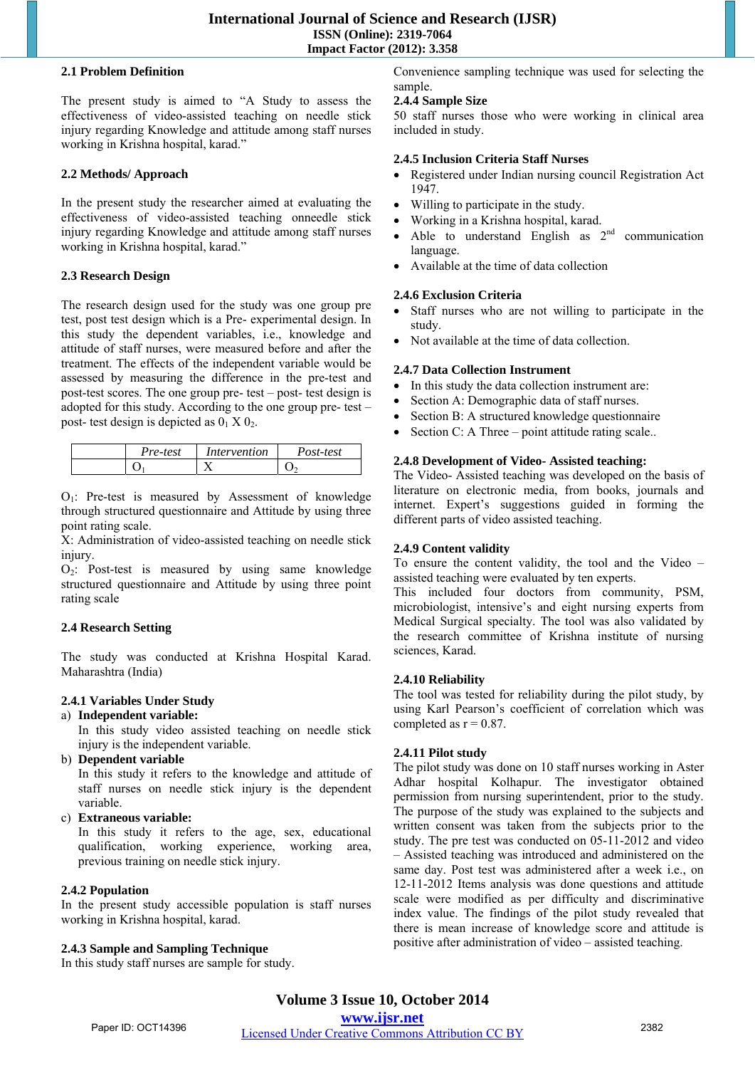#### **2.1 Problem Definition**

The present study is aimed to "A Study to assess the effectiveness of video-assisted teaching on needle stick injury regarding Knowledge and attitude among staff nurses working in Krishna hospital, karad."

# **2.2 Methods/ Approach**

In the present study the researcher aimed at evaluating the effectiveness of video-assisted teaching onneedle stick injury regarding Knowledge and attitude among staff nurses working in Krishna hospital, karad."

# **2.3 Research Design**

The research design used for the study was one group pre test, post test design which is a Pre- experimental design. In this study the dependent variables, i.e., knowledge and attitude of staff nurses, were measured before and after the treatment. The effects of the independent variable would be assessed by measuring the difference in the pre-test and post-test scores. The one group pre- test – post- test design is adopted for this study. According to the one group pre- test – post- test design is depicted as  $0<sub>1</sub> \times 0<sub>2</sub>$ .

| Pre-test | Intervention | Post-test |
|----------|--------------|-----------|
|          |              |           |

O1: Pre-test is measured by Assessment of knowledge through structured questionnaire and Attitude by using three point rating scale.

X: Administration of video-assisted teaching on needle stick injury.

O2: Post-test is measured by using same knowledge structured questionnaire and Attitude by using three point rating scale

# **2.4 Research Setting**

The study was conducted at Krishna Hospital Karad. Maharashtra (India)

# **2.4.1 Variables Under Study**

a) **Independent variable:** 

In this study video assisted teaching on needle stick injury is the independent variable.

b) **Dependent variable**

In this study it refers to the knowledge and attitude of staff nurses on needle stick injury is the dependent variable.

c) **Extraneous variable:**

In this study it refers to the age, sex, educational qualification, working experience, working area, previous training on needle stick injury.

#### **2.4.2 Population**

In the present study accessible population is staff nurses working in Krishna hospital, karad.

# **2.4.3 Sample and Sampling Technique**

In this study staff nurses are sample for study.

Convenience sampling technique was used for selecting the sample.

# **2.4.4 Sample Size**

50 staff nurses those who were working in clinical area included in study.

#### **2.4.5 Inclusion Criteria Staff Nurses**

- Registered under Indian nursing council Registration Act 1947.
- Willing to participate in the study.
- Working in a Krishna hospital, karad.
- Able to understand English as  $2<sup>nd</sup>$  communication language.
- Available at the time of data collection

# **2.4.6 Exclusion Criteria**

- Staff nurses who are not willing to participate in the study.
- Not available at the time of data collection.

# **2.4.7 Data Collection Instrument**

- In this study the data collection instrument are:
- Section A: Demographic data of staff nurses.
- Section B: A structured knowledge questionnaire
- Section C: A Three point attitude rating scale...

# **2.4.8 Development of Video- Assisted teaching:**

The Video- Assisted teaching was developed on the basis of literature on electronic media, from books, journals and internet. Expert's suggestions guided in forming the different parts of video assisted teaching.

# **2.4.9 Content validity**

To ensure the content validity, the tool and the Video – assisted teaching were evaluated by ten experts.

This included four doctors from community, PSM, microbiologist, intensive's and eight nursing experts from Medical Surgical specialty. The tool was also validated by the research committee of Krishna institute of nursing sciences, Karad.

#### **2.4.10 Reliability**

The tool was tested for reliability during the pilot study, by using Karl Pearson's coefficient of correlation which was completed as  $r = 0.87$ .

# **2.4.11 Pilot study**

The pilot study was done on 10 staff nurses working in Aster Adhar hospital Kolhapur. The investigator obtained permission from nursing superintendent, prior to the study. The purpose of the study was explained to the subjects and written consent was taken from the subjects prior to the study. The pre test was conducted on 05-11-2012 and video – Assisted teaching was introduced and administered on the same day. Post test was administered after a week i.e., on 12-11-2012 Items analysis was done questions and attitude scale were modified as per difficulty and discriminative index value. The findings of the pilot study revealed that there is mean increase of knowledge score and attitude is positive after administration of video – assisted teaching.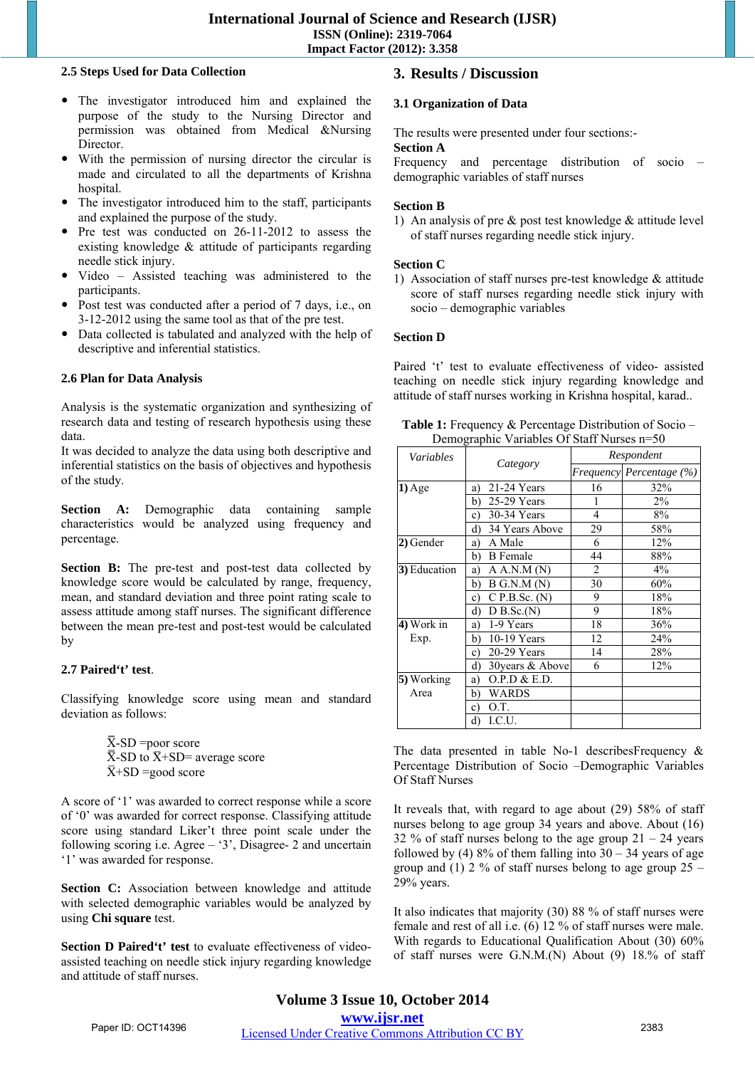#### **2.5 Steps Used for Data Collection**

- The investigator introduced him and explained the purpose of the study to the Nursing Director and permission was obtained from Medical &Nursing Director.
- With the permission of nursing director the circular is made and circulated to all the departments of Krishna hospital.
- The investigator introduced him to the staff, participants and explained the purpose of the study.
- Pre test was conducted on 26-11-2012 to assess the existing knowledge & attitude of participants regarding needle stick injury.
- Video Assisted teaching was administered to the participants.
- Post test was conducted after a period of 7 days, i.e., on 3-12-2012 using the same tool as that of the pre test.
- Data collected is tabulated and analyzed with the help of descriptive and inferential statistics.

#### **2.6 Plan for Data Analysis**

Analysis is the systematic organization and synthesizing of research data and testing of research hypothesis using these data.

It was decided to analyze the data using both descriptive and inferential statistics on the basis of objectives and hypothesis of the study.

**Section A:** Demographic data containing sample characteristics would be analyzed using frequency and percentage.

**Section B:** The pre-test and post-test data collected by knowledge score would be calculated by range, frequency, mean, and standard deviation and three point rating scale to assess attitude among staff nurses. The significant difference between the mean pre-test and post-test would be calculated by

#### **2.7 Paired't' test**.

Classifying knowledge score using mean and standard deviation as follows:

> $\overline{X}$ -SD =poor score  $\overline{X}$ -SD to  $\overline{X}$ +SD= average score  $\overline{X}$ +SD =good score

A score of '1' was awarded to correct response while a score of '0' was awarded for correct response. Classifying attitude score using standard Liker't three point scale under the following scoring i.e. Agree – '3', Disagree- 2 and uncertain '1' was awarded for response.

Section C: Association between knowledge and attitude with selected demographic variables would be analyzed by using **Chi square** test.

**Section D Paired't' test** to evaluate effectiveness of videoassisted teaching on needle stick injury regarding knowledge and attitude of staff nurses.

# **3. Results / Discussion**

# **3.1 Organization of Data**

The results were presented under four sections:-

#### **Section A**

Frequency and percentage distribution of socio – demographic variables of staff nurses

#### **Section B**

1) An analysis of pre & post test knowledge & attitude level of staff nurses regarding needle stick injury.

#### **Section C**

1) Association of staff nurses pre-test knowledge & attitude score of staff nurses regarding needle stick injury with socio – demographic variables

#### **Section D**

Paired 't' test to evaluate effectiveness of video- assisted teaching on needle stick injury regarding knowledge and attitude of staff nurses working in Krishna hospital, karad..

| Variables    |                         |                | Respondent               |
|--------------|-------------------------|----------------|--------------------------|
|              | Category                |                | Frequency Percentage (%) |
| $1)$ Age     | 21-24 Years<br>a)       | 16             | 32%                      |
|              | 25-29 Years<br>b)       | 1              | $2\%$                    |
|              | 30-34 Years<br>c)       | 4              | 8%                       |
|              | 34 Years Above<br>d)    | 29             | 58%                      |
| 2) Gender    | A Male<br>a)            | 6              | 12%                      |
|              | <b>B</b> Female<br>b)   | 44             | 88%                      |
| 3) Education | A A.N.M (N)<br>a)       | $\overline{2}$ | 4%                       |
|              | $B$ G.N.M $(N)$<br>b)   | 30             | 60%                      |
|              | $C$ P.B.Sc. $(N)$<br>c) | 9              | 18%                      |
|              | d)<br>$D$ B.Sc. $(N)$   | 9              | 18%                      |
| 4) Work in   | 1-9 Years<br>a)         | 18             | 36%                      |
| Exp.         | $10-19$ Years<br>b)     | 12             | 24%                      |
|              | 20-29 Years<br>c)       | 14             | 28%                      |
|              | d)<br>30 years & Above  | 6              | 12%                      |
| 5) Working   | O.P.D & E.D.<br>a)      |                |                          |
| Area         | WARDS<br>b)             |                |                          |
|              | O.T.<br>c)              |                |                          |
|              | I.C.U.<br>d)            |                |                          |

Table 1: Frequency & Percentage Distribution of Socio – Demographic Variables Of Staff Nurses n=50

The data presented in table No-1 describesFrequency & Percentage Distribution of Socio –Demographic Variables Of Staff Nurses

It reveals that, with regard to age about (29) 58% of staff nurses belong to age group 34 years and above. About (16) 32 % of staff nurses belong to the age group  $21 - 24$  years followed by (4) 8% of them falling into  $30 - 34$  years of age group and (1) 2 % of staff nurses belong to age group  $25$  – 29% years.

It also indicates that majority (30) 88 % of staff nurses were female and rest of all i.e. (6) 12 % of staff nurses were male. With regards to Educational Qualification About (30) 60% of staff nurses were G.N.M.(N) About (9) 18.% of staff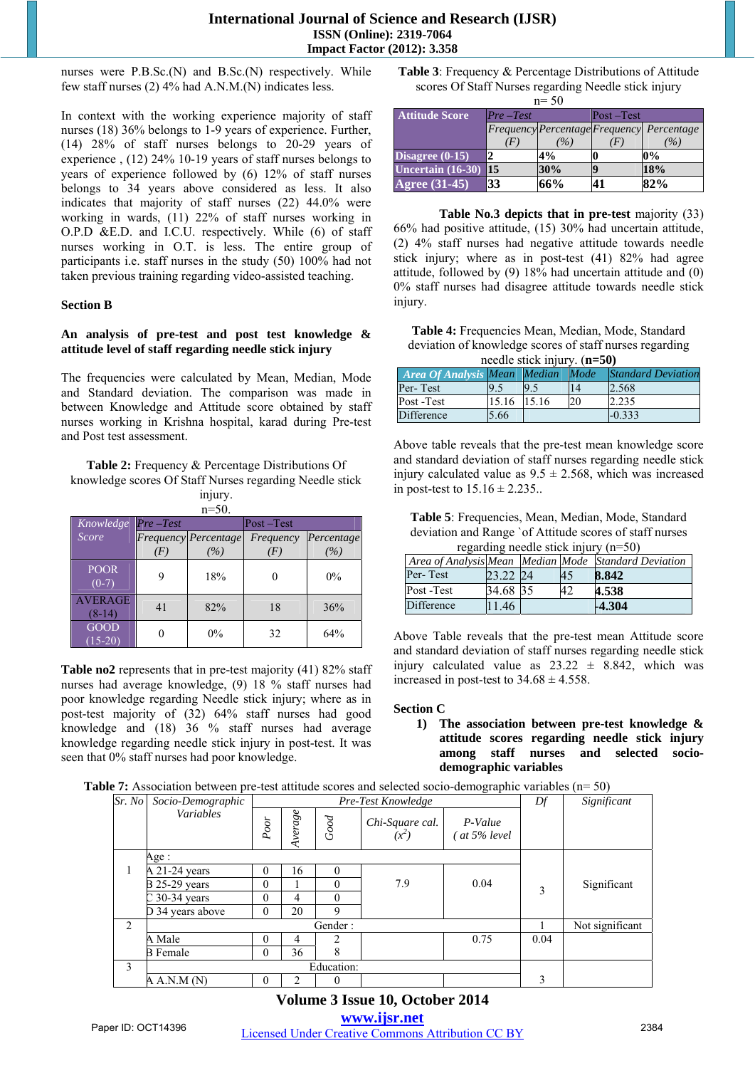nurses were P.B.Sc.(N) and B.Sc.(N) respectively. While few staff nurses (2) 4% had A.N.M.(N) indicates less.

In context with the working experience majority of staff nurses (18) 36% belongs to 1-9 years of experience. Further, (14) 28% of staff nurses belongs to 20-29 years of experience , (12) 24% 10-19 years of staff nurses belongs to years of experience followed by (6) 12% of staff nurses belongs to 34 years above considered as less. It also indicates that majority of staff nurses (22) 44.0% were working in wards, (11) 22% of staff nurses working in O.P.D &E.D. and I.C.U. respectively. While (6) of staff nurses working in O.T. is less. The entire group of participants i.e. staff nurses in the study (50) 100% had not taken previous training regarding video-assisted teaching.

#### **Section B**

#### **An analysis of pre-test and post test knowledge & attitude level of staff regarding needle stick injury**

The frequencies were calculated by Mean, Median, Mode and Standard deviation. The comparison was made in between Knowledge and Attitude score obtained by staff nurses working in Krishna hospital, karad during Pre-test and Post test assessment.

**Table 2:** Frequency & Percentage Distributions Of knowledge scores Of Staff Nurses regarding Needle stick

injury. n=50.

| Knowledge                  | $Pre-Test$ |                             | $Post - Test$     |            |  |  |
|----------------------------|------------|-----------------------------|-------------------|------------|--|--|
| Score                      |            | <b>Frequency</b> Percentage | Frequency         | Percentage |  |  |
|                            | (F)        | (%)                         | $\left( F\right)$ | (%)        |  |  |
| <b>POOR</b><br>$(0-7)$     |            | 18%                         |                   | $0\%$      |  |  |
| <b>AVERAGE</b><br>$(8-14)$ | 41         | 82%                         | 18                | 36%        |  |  |
| <b>GOOD</b><br>$(15-20)$   |            | $0\%$                       | 32                | 64%        |  |  |

**Table no2** represents that in pre-test majority (41) 82% staff nurses had average knowledge, (9) 18 % staff nurses had poor knowledge regarding Needle stick injury; where as in post-test majority of (32) 64% staff nurses had good knowledge and (18) 36 % staff nurses had average knowledge regarding needle stick injury in post-test. It was seen that 0% staff nurses had poor knowledge.

**Table 3**: Frequency & Percentage Distributions of Attitude scores Of Staff Nurses regarding Needle stick injury  $n = 50$ 

| $11 - 30$                  |              |      |               |                                           |  |  |  |  |  |
|----------------------------|--------------|------|---------------|-------------------------------------------|--|--|--|--|--|
| <b>Attitude Score</b>      | $Pre-Test$   |      | $Post - Test$ |                                           |  |  |  |  |  |
|                            |              |      |               | Frequency Percentage Frequency Percentage |  |  |  |  |  |
|                            | $\mathbf{F}$ | $\%$ |               | $\%$                                      |  |  |  |  |  |
| Disagree $(0-15)$          |              | 4%   |               | 0%                                        |  |  |  |  |  |
| Uncertain $(16-30)$        | 15           | 30%  |               | 18%                                       |  |  |  |  |  |
| Agree $\overline{(31-45)}$ | 33           | 66%  |               | 82%                                       |  |  |  |  |  |

**Table No.3 depicts that in pre-test** majority (33) 66% had positive attitude, (15) 30% had uncertain attitude, (2) 4% staff nurses had negative attitude towards needle stick injury; where as in post-test (41) 82% had agree attitude, followed by (9) 18% had uncertain attitude and (0) 0% staff nurses had disagree attitude towards needle stick injury.

**Table 4:** Frequencies Mean, Median, Mode, Standard deviation of knowledge scores of staff nurses regarding needle stick injury. (**n=50)** 

| <b>Area Of Analysis Mean Median</b> |       |       | Mode | <b>Standard Deviation</b> |
|-------------------------------------|-------|-------|------|---------------------------|
| Per-Test                            |       |       |      | 2.568                     |
| Post -Test                          | 15.16 | 15.16 | 20   | 2.235                     |
| <b>Difference</b>                   | 5.66  |       |      | $-0.333$                  |

Above table reveals that the pre-test mean knowledge score and standard deviation of staff nurses regarding needle stick injury calculated value as  $9.5 \pm 2.568$ , which was increased in post-test to  $15.16 \pm 2.235$ ..

**Table 5**: Frequencies, Mean, Median, Mode, Standard deviation and Range `of Attitude scores of staff nurses regarding needle stick injury (n=50)

|                   | $18.4$ and $10.0$ and $0.00$ and $0.00$ and $0.00$ and $0.00$ and $0.00$ and $0.00$ and $0.00$ and $0.00$ and $0.00$ and $0.00$ and $0.00$ and $0.00$ and $0.00$ and $0.00$ and $0.00$ and $0.00$ and $0.00$ and $0.00$ and |  |    |                                                      |  |  |  |  |  |
|-------------------|-----------------------------------------------------------------------------------------------------------------------------------------------------------------------------------------------------------------------------|--|----|------------------------------------------------------|--|--|--|--|--|
|                   |                                                                                                                                                                                                                             |  |    | Area of Analysis Mean Median Mode Standard Deviation |  |  |  |  |  |
| Per-Test          | 23.22 24                                                                                                                                                                                                                    |  | 45 | 8.842                                                |  |  |  |  |  |
| Post -Test        | 34.68 35                                                                                                                                                                                                                    |  | 42 | 4.538                                                |  |  |  |  |  |
| <b>Difference</b> | 146                                                                                                                                                                                                                         |  |    | -4.304                                               |  |  |  |  |  |

Above Table reveals that the pre-test mean Attitude score and standard deviation of staff nurses regarding needle stick injury calculated value as  $23.22 \pm 8.842$ , which was increased in post-test to  $34.68 \pm 4.558$ .

#### **Section C**

**1) The association between pre-test knowledge & attitude scores regarding needle stick injury among staff nurses and selected sociodemographic variables** 

|  | <b>Table 7:</b> Association between pre-test attitude scores and selected socio-demographic variables $(n=50)$ |  |  |  |  |  |  |
|--|----------------------------------------------------------------------------------------------------------------|--|--|--|--|--|--|
|  |                                                                                                                |  |  |  |  |  |  |

| Sr. No | Socio-Demographic    |              |             |            | Pre-Test Knowledge         | ັ                      | Df   | Significant     |
|--------|----------------------|--------------|-------------|------------|----------------------------|------------------------|------|-----------------|
|        | <b>Variables</b>     | Poor         | $A\nu erge$ | Good       | Chi-Square cal.<br>$(x^2)$ | P-Value<br>at 5% level |      |                 |
|        | Age :                |              |             |            |                            |                        |      |                 |
| 1      | A 21-24 years        | $\theta$     | 16          | $\Omega$   |                            |                        |      |                 |
|        | <b>B</b> 25-29 years | $\theta$     |             | $\Omega$   | 7.9                        | 0.04                   | 3    | Significant     |
|        | $C$ 30-34 years      | $\theta$     | 4           | $\Omega$   |                            |                        |      |                 |
|        | D 34 years above     | $\mathbf{0}$ | 20          | 9          |                            |                        |      |                 |
| 2      |                      |              |             | Gender:    |                            |                        |      | Not significant |
|        | A Male               | $\Omega$     | 4           |            |                            | 0.75                   | 0.04 |                 |
|        | <b>B</b> Female      | $\theta$     | 36          | 8          |                            |                        |      |                 |
| 3      |                      |              |             | Education: |                            |                        |      |                 |
|        | A A.N.M(N)           | 0            |             | $\Omega$   |                            |                        | 3    |                 |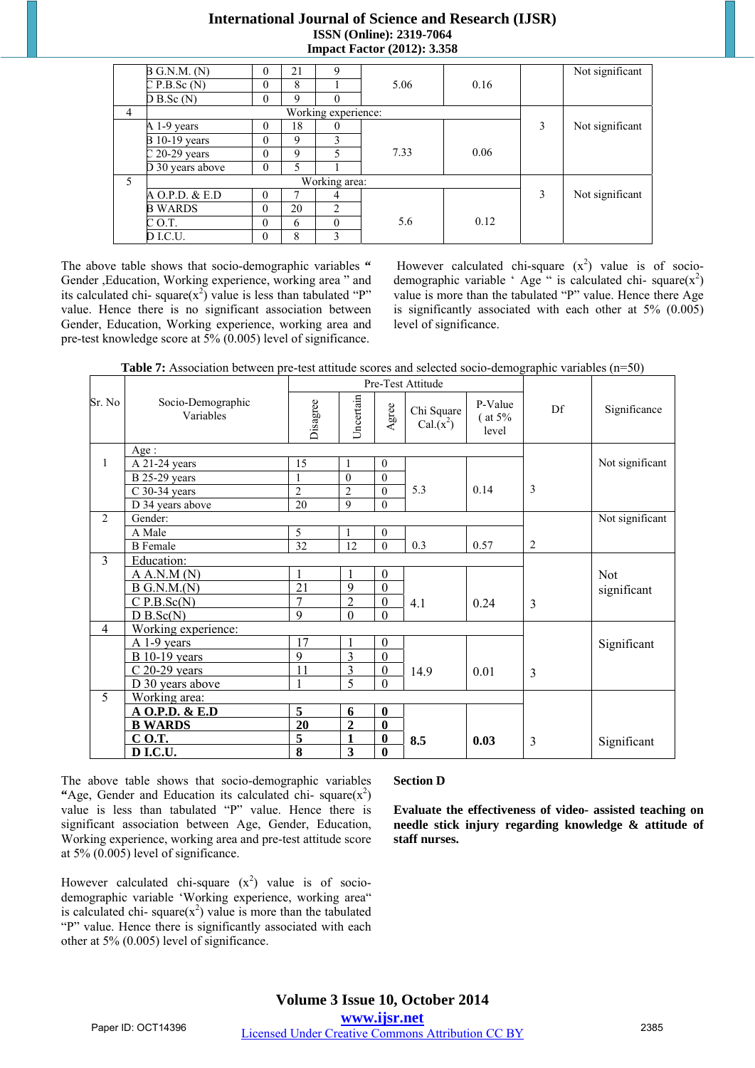# **International Journal of Science and Research (IJSR) ISSN (Online): 2319-7064 Impact Factor (2012): 3.358**

|                | B G.N.M. (N)         | 0                   | 21          | 9              |      |      |   | Not significant |  |  |
|----------------|----------------------|---------------------|-------------|----------------|------|------|---|-----------------|--|--|
|                | CP.B.Sc(N)           | $\theta$            | 8           |                | 5.06 | 0.16 |   |                 |  |  |
|                | $D B.$ Sc $(N)$      | $\theta$            | 9           | $\theta$       |      |      |   |                 |  |  |
| $\overline{4}$ |                      | Working experience: |             |                |      |      |   |                 |  |  |
|                | A 1-9 years          | $\theta$            | 18          | 0              |      |      | 3 | Not significant |  |  |
|                | <b>B</b> 10-19 years | $\Omega$            | 9           | 3              |      |      |   |                 |  |  |
|                | $C$ 20-29 years      | $\theta$            | $\mathbf Q$ | 5              | 7.33 | 0.06 |   |                 |  |  |
|                | D 30 years above     | $\theta$            |             |                |      |      |   |                 |  |  |
| 5              |                      |                     |             | Working area:  |      |      |   |                 |  |  |
|                | A O.P.D. & E.D       | $\theta$            |             | 4              |      |      | 3 | Not significant |  |  |
|                | <b>B WARDS</b>       | $\theta$            | 20          | $\overline{c}$ |      |      |   |                 |  |  |
|                | C O.T.               | $\theta$            | 6           | $\Omega$       | 5.6  | 0.12 |   |                 |  |  |
|                | D I.C.U.             | $\theta$            | 8           | ٩              |      |      |   |                 |  |  |

The above table shows that socio-demographic variables **"** Gender ,Education, Working experience, working area " and its calculated chi- square( $x^2$ ) value is less than tabulated "P" value. Hence there is no significant association between Gender, Education, Working experience, working area and pre-test knowledge score at 5% (0.005) level of significance.

However calculated chi-square  $(x^2)$  value is of sociodemographic variable 'Age " is calculated chi- square $(x^2)$ value is more than the tabulated "P" value. Hence there Age is significantly associated with each other at 5% (0.005) level of significance.

|                | TV I ISSO SIGNIOII O SUIT SUIT PIUS TUST GUITIGUS SU |                |                |                  |                          |                               | $\frac{1}{2}$  |                 |
|----------------|------------------------------------------------------|----------------|----------------|------------------|--------------------------|-------------------------------|----------------|-----------------|
|                |                                                      |                |                |                  | Pre-Test Attitude        |                               |                |                 |
| Sr. No         | Socio-Demographic<br>Variables                       | Disagree       | Uncertain      | Agree            | Chi Square<br>$Cal(x^2)$ | P-Value<br>$($ at 5%<br>level | Df             | Significance    |
|                | Age:                                                 |                |                |                  |                          |                               |                |                 |
| $\overline{1}$ | A 21-24 years                                        | 15             | 1              | $\theta$         |                          |                               |                | Not significant |
|                | <b>B</b> 25-29 years                                 | 1              | $\mathbf{0}$   | $\mathbf{0}$     |                          |                               |                |                 |
|                | $C$ 30-34 years                                      | $\overline{2}$ | $\overline{c}$ | $\theta$         | 5.3                      | 0.14                          | 3              |                 |
|                | D 34 years above                                     | 20             | 9              | $\theta$         |                          |                               |                |                 |
| 2              | Gender:                                              |                |                |                  |                          |                               |                | Not significant |
|                | A Male                                               | 5              |                | $\mathbf{0}$     |                          |                               |                |                 |
|                | <b>B</b> Female                                      | 32             | 12             | $\theta$         | 0.3                      | 0.57                          | 2              |                 |
| $\overline{3}$ | Education:                                           |                |                |                  |                          |                               |                |                 |
|                | A A.N.M (N)                                          |                |                | $\boldsymbol{0}$ |                          |                               |                | <b>Not</b>      |
|                | $B$ G.N.M. $(N)$                                     | 21             | 9              | $\boldsymbol{0}$ |                          |                               |                | significant     |
|                | CP.B.Sc(N)                                           | $\overline{7}$ | $\overline{2}$ | $\boldsymbol{0}$ | 4.1                      | 0.24                          | $\overline{3}$ |                 |
|                | D B.Sc(N)                                            | 9              | $\theta$       | $\Omega$         |                          |                               |                |                 |
| $\overline{4}$ | Working experience:                                  |                |                |                  |                          |                               |                |                 |
|                | $A$ 1-9 years                                        | 17             |                | $\boldsymbol{0}$ |                          |                               |                | Significant     |
|                | $B$ 10-19 years                                      | 9              | 3              | $\theta$         |                          |                               |                |                 |
|                | $C$ 20-29 years                                      | 11             | 3              | $\boldsymbol{0}$ | 14.9                     | 0.01                          | 3              |                 |
|                | D 30 years above                                     | $\mathbf{1}$   | 5              | $\theta$         |                          |                               |                |                 |
| 5              | Working area:                                        |                |                |                  |                          |                               |                |                 |
|                | A O.P.D. & E.D                                       | 5              | 6              | $\bf{0}$         |                          |                               |                |                 |
|                | <b>B WARDS</b>                                       | 20             | $\overline{2}$ | $\bf{0}$         |                          |                               |                |                 |
|                | C O.T.                                               | 5              | 1              | $\bf{0}$         | 8.5                      | 0.03                          | 3              | Significant     |
|                | <b>DI.C.U.</b>                                       | 8              | 3              | $\bf{0}$         |                          |                               |                |                 |

| Table 7: Association between pre-test attitude scores and selected socio-demographic variables (n=50) |  |  |
|-------------------------------------------------------------------------------------------------------|--|--|
|                                                                                                       |  |  |

The above table shows that socio-demographic variables "Age, Gender and Education its calculated chi- square $(x^2)$ value is less than tabulated "P" value. Hence there is significant association between Age, Gender, Education, Working experience, working area and pre-test attitude score at 5% (0.005) level of significance.

However calculated chi-square  $(x^2)$  value is of sociodemographic variable 'Working experience, working area" is calculated chi-square $(x^2)$  value is more than the tabulated "P" value. Hence there is significantly associated with each other at 5% (0.005) level of significance.

#### **Section D**

**Evaluate the effectiveness of video- assisted teaching on needle stick injury regarding knowledge & attitude of staff nurses.**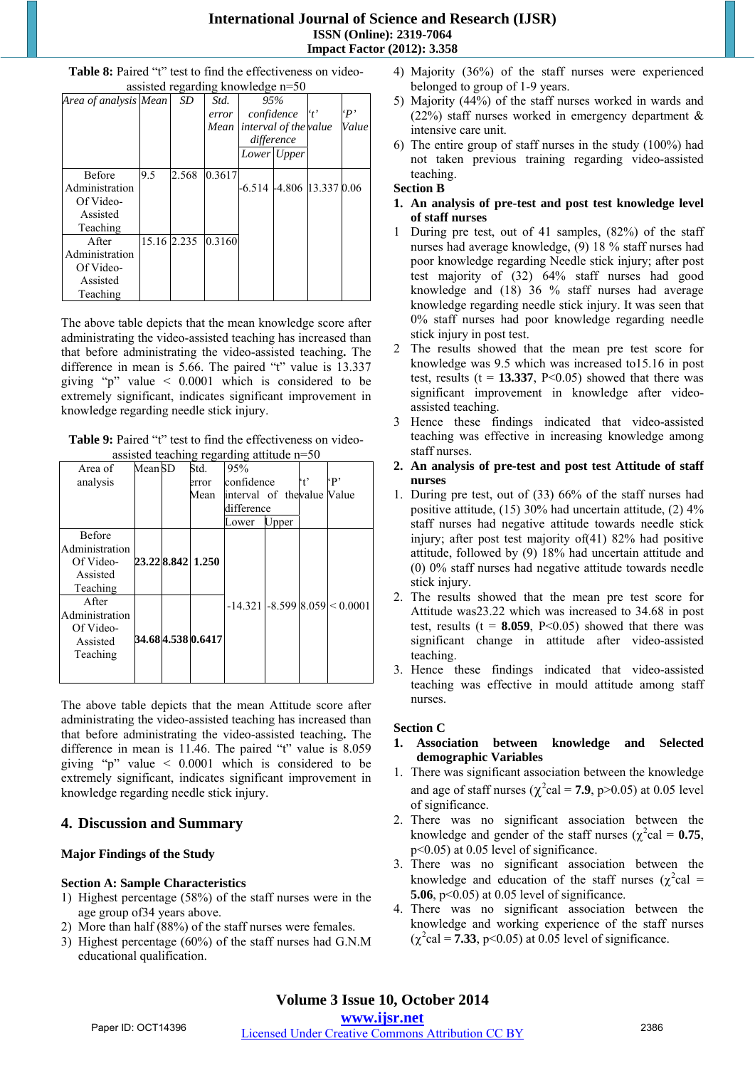# **International Journal of Science and Research (IJSR) ISSN (Online): 2319-7064 Impact Factor (2012): 3.358**

|                       |     |             | assisted regarding knowledge n=50 |            |                       |                           |            |
|-----------------------|-----|-------------|-----------------------------------|------------|-----------------------|---------------------------|------------|
| Area of analysis Mean |     | SD          | Std.                              | 95%        |                       |                           |            |
|                       |     |             | error                             | confidence |                       | $ t\rangle$               | $\cdot$ P' |
|                       |     |             | Mean                              |            | interval of the value |                           | Value      |
|                       |     |             |                                   |            | difference            |                           |            |
|                       |     |             |                                   |            | Lower Upper           |                           |            |
| <b>Before</b>         | 9.5 | 2.568       | 0.3617                            |            |                       |                           |            |
| Administration        |     |             |                                   |            |                       | -6.514 -4.806 13.337 0.06 |            |
| Of Video-             |     |             |                                   |            |                       |                           |            |
| Assisted              |     |             |                                   |            |                       |                           |            |
| Teaching              |     |             |                                   |            |                       |                           |            |
| After                 |     | 15.16 2.235 | 0.3160                            |            |                       |                           |            |
| Administration        |     |             |                                   |            |                       |                           |            |
| Of Video-             |     |             |                                   |            |                       |                           |            |
| Assisted              |     |             |                                   |            |                       |                           |            |
| Teaching              |     |             |                                   |            |                       |                           |            |

**Table 8:** Paired "t" test to find the effectiveness on video-

The above table depicts that the mean knowledge score after administrating the video-assisted teaching has increased than that before administrating the video-assisted teaching**.** The difference in mean is 5.66. The paired "t" value is 13.337 giving "p" value  $\leq 0.0001$  which is considered to be extremely significant, indicates significant improvement in knowledge regarding needle stick injury.

| <b>Table 9:</b> Paired "t" test to find the effectiveness on video- |  |  |  |  |
|---------------------------------------------------------------------|--|--|--|--|
| assisted teaching regarding attitude $n=50$                         |  |  |  |  |

|                | $\alpha$ ssisicu icaciniig regarumg aunuuc ir $\beta$ |  |                    |                             |       |   |                                       |  |  |  |  |
|----------------|-------------------------------------------------------|--|--------------------|-----------------------------|-------|---|---------------------------------------|--|--|--|--|
| Area of        | Mean SD                                               |  | Std.               | 95%                         |       |   |                                       |  |  |  |  |
| analysis       |                                                       |  | error              | confidence                  |       | 4 | $\mathbf{p}$                          |  |  |  |  |
|                |                                                       |  | Mean               | interval of the value Value |       |   |                                       |  |  |  |  |
|                |                                                       |  |                    | difference                  |       |   |                                       |  |  |  |  |
|                |                                                       |  |                    | Lower                       | Upper |   |                                       |  |  |  |  |
| <b>Before</b>  |                                                       |  |                    |                             |       |   |                                       |  |  |  |  |
| Administration |                                                       |  |                    |                             |       |   |                                       |  |  |  |  |
| Of Video-      |                                                       |  | 23.228.842 1.250   |                             |       |   |                                       |  |  |  |  |
| Assisted       |                                                       |  |                    |                             |       |   |                                       |  |  |  |  |
| Teaching       |                                                       |  |                    |                             |       |   |                                       |  |  |  |  |
| After          |                                                       |  |                    |                             |       |   | $-14.321$ $-8.599$ $8.059$ $< 0.0001$ |  |  |  |  |
| Administration |                                                       |  |                    |                             |       |   |                                       |  |  |  |  |
| Of Video-      |                                                       |  |                    |                             |       |   |                                       |  |  |  |  |
| Assisted       |                                                       |  | 34.68 4.538 0.6417 |                             |       |   |                                       |  |  |  |  |
| Teaching       |                                                       |  |                    |                             |       |   |                                       |  |  |  |  |
|                |                                                       |  |                    |                             |       |   |                                       |  |  |  |  |
|                |                                                       |  |                    |                             |       |   |                                       |  |  |  |  |

The above table depicts that the mean Attitude score after administrating the video-assisted teaching has increased than that before administrating the video-assisted teaching**.** The difference in mean is 11.46. The paired "t" value is 8.059 giving "p" value  $\leq 0.0001$  which is considered to be extremely significant, indicates significant improvement in knowledge regarding needle stick injury.

# **4. Discussion and Summary**

# **Major Findings of the Study**

# **Section A: Sample Characteristics**

- 1) Highest percentage (58%) of the staff nurses were in the age group of34 years above.
- 2) More than half (88%) of the staff nurses were females.
- 3) Highest percentage (60%) of the staff nurses had G.N.M educational qualification.
- 4) Majority (36%) of the staff nurses were experienced belonged to group of 1-9 years.
- 5) Majority (44%) of the staff nurses worked in wards and (22%) staff nurses worked in emergency department & intensive care unit.
- 6) The entire group of staff nurses in the study (100%) had not taken previous training regarding video-assisted teaching.

# **Section B**

- **1. An analysis of pre-test and post test knowledge level of staff nurses**
- 1 During pre test, out of 41 samples, (82%) of the staff nurses had average knowledge, (9) 18 % staff nurses had poor knowledge regarding Needle stick injury; after post test majority of (32) 64% staff nurses had good knowledge and (18) 36 % staff nurses had average knowledge regarding needle stick injury. It was seen that 0% staff nurses had poor knowledge regarding needle stick injury in post test.
- 2 The results showed that the mean pre test score for knowledge was 9.5 which was increased to15.16 in post test, results ( $t = 13.337$ ,  $P < 0.05$ ) showed that there was significant improvement in knowledge after videoassisted teaching.
- 3 Hence these findings indicated that video-assisted teaching was effective in increasing knowledge among staff nurses.
- **2. An analysis of pre-test and post test Attitude of staff nurses**
- 1. During pre test, out of (33) 66% of the staff nurses had positive attitude, (15) 30% had uncertain attitude, (2) 4% staff nurses had negative attitude towards needle stick injury; after post test majority of(41) 82% had positive attitude, followed by (9) 18% had uncertain attitude and (0) 0% staff nurses had negative attitude towards needle stick injury.
- 2. The results showed that the mean pre test score for Attitude was23.22 which was increased to 34.68 in post test, results ( $t = 8.059$ ,  $P \le 0.05$ ) showed that there was significant change in attitude after video-assisted teaching.
- 3. Hence these findings indicated that video-assisted teaching was effective in mould attitude among staff nurses.

# **Section C**

- **1. Association between knowledge and Selected demographic Variables**
- 1. There was significant association between the knowledge and age of staff nurses ( $\chi^2$ cal = **7.9**, p>0.05) at 0.05 level of significance.
- 2. There was no significant association between the knowledge and gender of the staff nurses ( $\chi^2$ cal = **0.75**, p<0.05) at 0.05 level of significance.
- 3. There was no significant association between the knowledge and education of the staff nurses ( $\chi^2$ cal = **5.06**, p<0.05) at 0.05 level of significance.
- 4. There was no significant association between the knowledge and working experience of the staff nurses  $(\chi^2 \text{cal} = 7.33, \text{ p} < 0.05)$  at 0.05 level of significance.

#### **www.ijsr.net** Paper ID: OCT14396 *Licensed Under Creative Commons Attribution CC BY* 2386

**Volume 3 Issue 10, October 2014**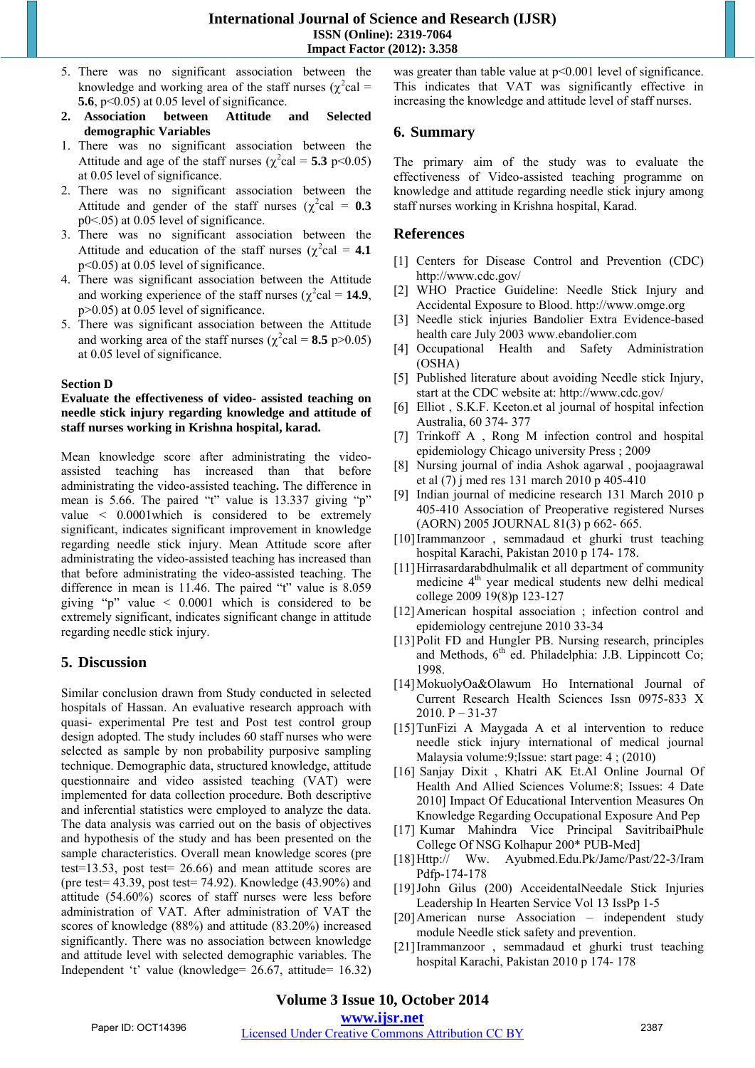- 5. There was no significant association between the knowledge and working area of the staff nurses ( $\chi^2$ cal = **5.6**, p<0.05) at 0.05 level of significance.
- **2. Association between Attitude and Selected demographic Variables**
- 1. There was no significant association between the Attitude and age of the staff nurses ( $\chi^2$ cal = **5.3** p < 0.05) at 0.05 level of significance.
- 2. There was no significant association between the Attitude and gender of the staff nurses  $(\chi^2 \text{cal} = 0.3)$ p0<.05) at 0.05 level of significance.
- 3. There was no significant association between the Attitude and education of the staff nurses ( $\chi^2$ cal = **4.1** p<0.05) at 0.05 level of significance.
- 4. There was significant association between the Attitude and working experience of the staff nurses ( $\chi^2$ cal = **14.9**, p>0.05) at 0.05 level of significance.
- 5. There was significant association between the Attitude and working area of the staff nurses ( $\chi^2$ cal = **8.5** p>0.05) at 0.05 level of significance.

#### **Section D**

#### **Evaluate the effectiveness of video- assisted teaching on needle stick injury regarding knowledge and attitude of staff nurses working in Krishna hospital, karad.**

Mean knowledge score after administrating the videoassisted teaching has increased than that before administrating the video-assisted teaching**.** The difference in mean is 5.66. The paired "t" value is 13.337 giving "p" value < 0.0001which is considered to be extremely significant, indicates significant improvement in knowledge regarding needle stick injury. Mean Attitude score after administrating the video-assisted teaching has increased than that before administrating the video-assisted teaching. The difference in mean is 11.46. The paired "t" value is 8.059 giving "p" value < 0.0001 which is considered to be extremely significant, indicates significant change in attitude regarding needle stick injury.

# **5. Discussion**

Similar conclusion drawn from Study conducted in selected hospitals of Hassan. An evaluative research approach with quasi- experimental Pre test and Post test control group design adopted. The study includes 60 staff nurses who were selected as sample by non probability purposive sampling technique. Demographic data, structured knowledge, attitude questionnaire and video assisted teaching (VAT) were implemented for data collection procedure. Both descriptive and inferential statistics were employed to analyze the data. The data analysis was carried out on the basis of objectives and hypothesis of the study and has been presented on the sample characteristics. Overall mean knowledge scores (pre test=13.53, post test= 26.66) and mean attitude scores are (pre test= 43.39, post test= 74.92). Knowledge (43.90%) and attitude (54.60%) scores of staff nurses were less before administration of VAT. After administration of VAT the scores of knowledge (88%) and attitude (83.20%) increased significantly. There was no association between knowledge and attitude level with selected demographic variables. The Independent 't' value (knowledge= 26.67, attitude= 16.32) was greater than table value at  $p<0.001$  level of significance. This indicates that VAT was significantly effective in increasing the knowledge and attitude level of staff nurses.

# **6. Summary**

The primary aim of the study was to evaluate the effectiveness of Video-assisted teaching programme on knowledge and attitude regarding needle stick injury among staff nurses working in Krishna hospital, Karad.

# **References**

- [1] Centers for Disease Control and Prevention (CDC) http://www.cdc.gov/
- [2] WHO Practice Guideline: Needle Stick Injury and Accidental Exposure to Blood. http://www.omge.org
- [3] Needle stick injuries Bandolier Extra Evidence-based health care July 2003 www.ebandolier.com
- [4] Occupational Health and Safety Administration (OSHA)
- [5] Published literature about avoiding Needle stick Injury, start at the CDC website at: http://www.cdc.gov/
- [6] Elliot, S.K.F. Keeton.et al journal of hospital infection Australia, 60 374- 377
- [7] Trinkoff A , Rong M infection control and hospital epidemiology Chicago university Press ; 2009
- [8] Nursing journal of india Ashok agarwal , poojaagrawal et al (7) j med res 131 march 2010 p 405-410
- [9] Indian journal of medicine research 131 March 2010 p 405-410 Association of Preoperative registered Nurses (AORN) 2005 JOURNAL 81(3) p 662- 665.
- [10]Irammanzoor , semmadaud et ghurki trust teaching hospital Karachi, Pakistan 2010 p 174- 178.
- [11] Hirrasardarabdhulmalik et all department of community medicine 4<sup>th</sup> year medical students new delhi medical college 2009 19(8)p 123-127
- [12] American hospital association; infection control and epidemiology centrejune 2010 33-34
- [13]Polit FD and Hungler PB. Nursing research, principles and Methods,  $6<sup>th</sup>$  ed. Philadelphia: J.B. Lippincott Co; 1998.
- [14]MokuolyOa&Olawum Ho International Journal of Current Research Health Sciences Issn 0975-833 X 2010. P – 31-37
- [15]TunFizi A Maygada A et al intervention to reduce needle stick injury international of medical journal Malaysia volume:9;Issue: start page: 4 ; (2010)
- [16] Sanjay Dixit , Khatri AK Et.Al Online Journal Of Health And Allied Sciences Volume:8; Issues: 4 Date 2010] Impact Of Educational Intervention Measures On Knowledge Regarding Occupational Exposure And Pep
- [17] Kumar Mahindra Vice Principal SavitribaiPhule College Of NSG Kolhapur 200\* PUB-Med]
- [18]Http:// Ww. Ayubmed.Edu.Pk/Jamc/Past/22-3/Iram Pdfp-174-178
- [19]John Gilus (200) AcceidentalNeedale Stick Injuries Leadership In Hearten Service Vol 13 IssPp 1-5
- [20]American nurse Association independent study module Needle stick safety and prevention.
- [21]Irammanzoor , semmadaud et ghurki trust teaching hospital Karachi, Pakistan 2010 p 174- 178